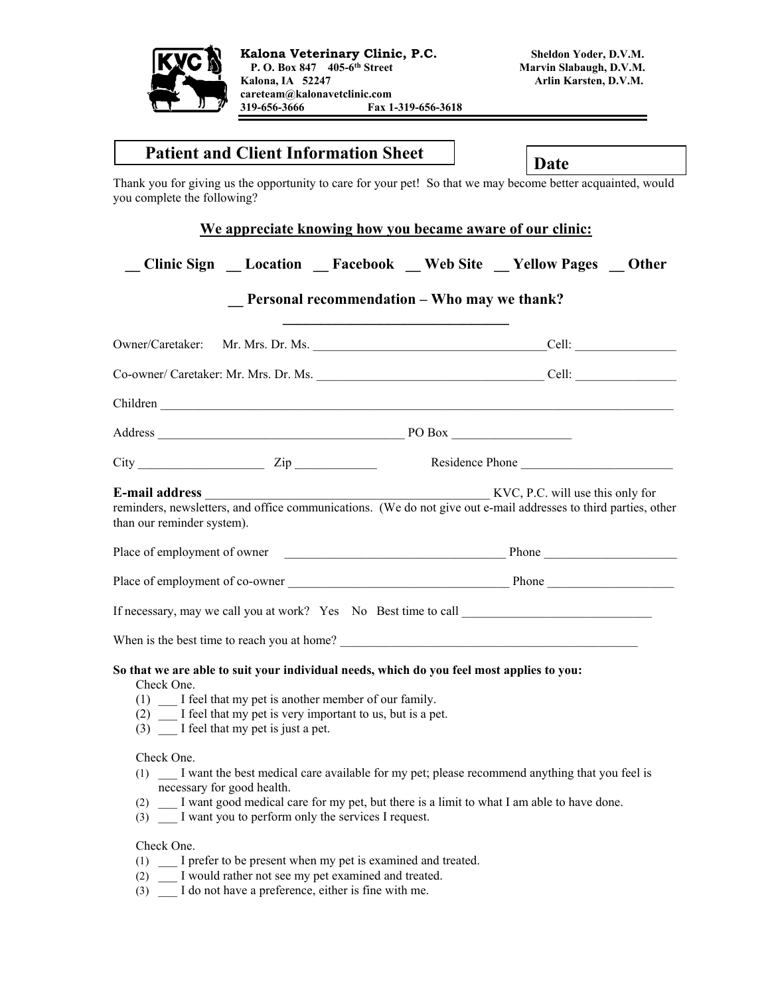

| <b>Patient and Client Information Sheet</b>                                                                                                                                                                                                                                           | Date                                                                                                                                                              |  |
|---------------------------------------------------------------------------------------------------------------------------------------------------------------------------------------------------------------------------------------------------------------------------------------|-------------------------------------------------------------------------------------------------------------------------------------------------------------------|--|
| you complete the following?                                                                                                                                                                                                                                                           | Thank you for giving us the opportunity to care for your pet! So that we may become better acquainted, would                                                      |  |
|                                                                                                                                                                                                                                                                                       | We appreciate knowing how you became aware of our clinic:                                                                                                         |  |
|                                                                                                                                                                                                                                                                                       | Clinic Sign __ Location __ Facebook __ Web Site __ Yellow Pages __ Other                                                                                          |  |
|                                                                                                                                                                                                                                                                                       | <b>Personal recommendation – Who may we thank?</b>                                                                                                                |  |
|                                                                                                                                                                                                                                                                                       |                                                                                                                                                                   |  |
|                                                                                                                                                                                                                                                                                       |                                                                                                                                                                   |  |
| Children                                                                                                                                                                                                                                                                              |                                                                                                                                                                   |  |
|                                                                                                                                                                                                                                                                                       |                                                                                                                                                                   |  |
|                                                                                                                                                                                                                                                                                       |                                                                                                                                                                   |  |
| E-mail address<br>than our reminder system).                                                                                                                                                                                                                                          | $\frac{1}{2}$ KVC, P.C. will use this only for<br>reminders, newsletters, and office communications. (We do not give out e-mail addresses to third parties, other |  |
|                                                                                                                                                                                                                                                                                       |                                                                                                                                                                   |  |
|                                                                                                                                                                                                                                                                                       |                                                                                                                                                                   |  |
|                                                                                                                                                                                                                                                                                       | If necessary, may we call you at work? Yes No Best time to call                                                                                                   |  |
|                                                                                                                                                                                                                                                                                       | When is the best time to reach you at home?                                                                                                                       |  |
| So that we are able to suit your individual needs, which do you feel most applies to you:<br>Check One.<br>I feel that my pet is another member of our family.<br>(1)<br>I feel that my pet is very important to us, but is a pet.<br>(2)<br>(3)<br>I feel that my pet is just a pet. |                                                                                                                                                                   |  |
| Check One.<br>I want the best medical care available for my pet; please recommend anything that you feel is                                                                                                                                                                           |                                                                                                                                                                   |  |

## Check One.

- (1) \_\_\_ I prefer to be present when my pet is examined and treated.
- (2) \_\_\_ I would rather not see my pet examined and treated.
- (3) \_\_\_ I do not have a preference, either is fine with me.